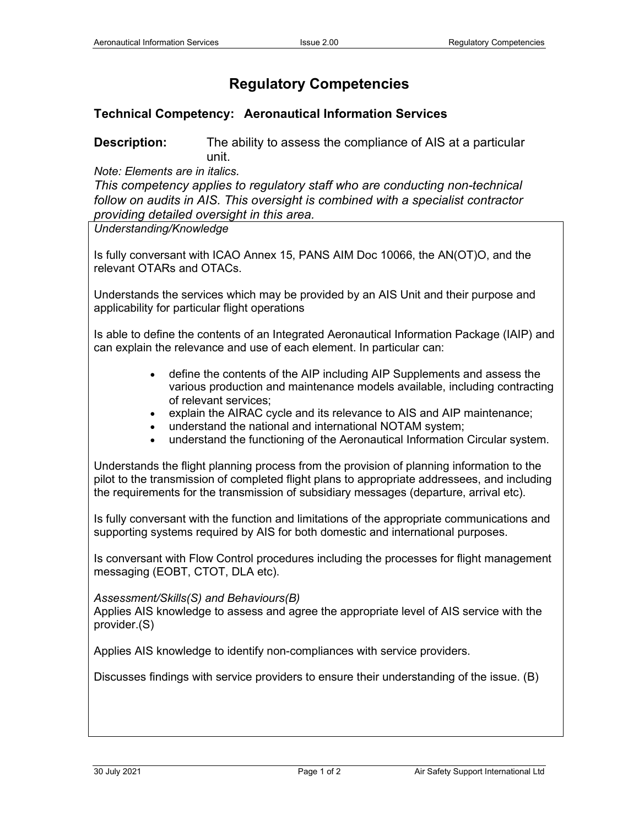## **Regulatory Competencies**

## **Technical Competency: Aeronautical Information Services**

**Description:** The ability to assess the compliance of AIS at a particular unit.

*Note: Elements are in italics.*

*This competency applies to regulatory staff who are conducting non-technical follow on audits in AIS. This oversight is combined with a specialist contractor providing detailed oversight in this area.*

*Understanding/Knowledge*

Is fully conversant with ICAO Annex 15, PANS AIM Doc 10066, the AN(OT)O, and the relevant OTARs and OTACs.

Understands the services which may be provided by an AIS Unit and their purpose and applicability for particular flight operations

Is able to define the contents of an Integrated Aeronautical Information Package (IAIP) and can explain the relevance and use of each element. In particular can:

- define the contents of the AIP including AIP Supplements and assess the various production and maintenance models available, including contracting of relevant services;
- explain the AIRAC cycle and its relevance to AIS and AIP maintenance;
- understand the national and international NOTAM system;
- understand the functioning of the Aeronautical Information Circular system.

Understands the flight planning process from the provision of planning information to the pilot to the transmission of completed flight plans to appropriate addressees, and including the requirements for the transmission of subsidiary messages (departure, arrival etc).

Is fully conversant with the function and limitations of the appropriate communications and supporting systems required by AIS for both domestic and international purposes.

Is conversant with Flow Control procedures including the processes for flight management messaging (EOBT, CTOT, DLA etc).

## *Assessment/Skills(S) and Behaviours(B)*

Applies AIS knowledge to assess and agree the appropriate level of AIS service with the provider.(S)

Applies AIS knowledge to identify non-compliances with service providers.

Discusses findings with service providers to ensure their understanding of the issue. (B)